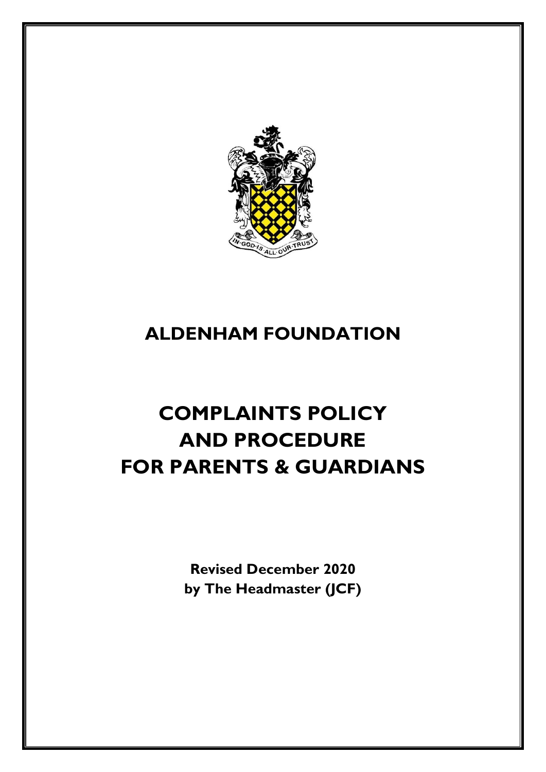

# **ALDENHAM FOUNDATION**

# **COMPLAINTS POLICY AND PROCEDURE FOR PARENTS & GUARDIANS**

**Revised December 2020 by The Headmaster (JCF)**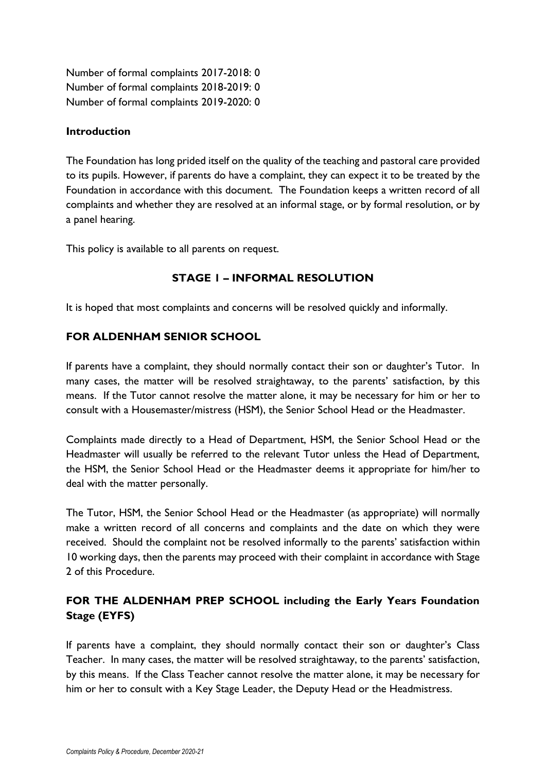Number of formal complaints 2017-2018: 0 Number of formal complaints 2018-2019: 0 Number of formal complaints 2019-2020: 0

#### **Introduction**

The Foundation has long prided itself on the quality of the teaching and pastoral care provided to its pupils. However, if parents do have a complaint, they can expect it to be treated by the Foundation in accordance with this document. The Foundation keeps a written record of all complaints and whether they are resolved at an informal stage, or by formal resolution, or by a panel hearing.

This policy is available to all parents on request.

# **STAGE 1 – INFORMAL RESOLUTION**

It is hoped that most complaints and concerns will be resolved quickly and informally.

# **FOR ALDENHAM SENIOR SCHOOL**

If parents have a complaint, they should normally contact their son or daughter's Tutor. In many cases, the matter will be resolved straightaway, to the parents' satisfaction, by this means. If the Tutor cannot resolve the matter alone, it may be necessary for him or her to consult with a Housemaster/mistress (HSM), the Senior School Head or the Headmaster.

Complaints made directly to a Head of Department, HSM, the Senior School Head or the Headmaster will usually be referred to the relevant Tutor unless the Head of Department, the HSM, the Senior School Head or the Headmaster deems it appropriate for him/her to deal with the matter personally.

The Tutor, HSM, the Senior School Head or the Headmaster (as appropriate) will normally make a written record of all concerns and complaints and the date on which they were received. Should the complaint not be resolved informally to the parents' satisfaction within 10 working days, then the parents may proceed with their complaint in accordance with Stage 2 of this Procedure.

# **FOR THE ALDENHAM PREP SCHOOL including the Early Years Foundation Stage (EYFS)**

If parents have a complaint, they should normally contact their son or daughter's Class Teacher. In many cases, the matter will be resolved straightaway, to the parents' satisfaction, by this means. If the Class Teacher cannot resolve the matter alone, it may be necessary for him or her to consult with a Key Stage Leader, the Deputy Head or the Headmistress.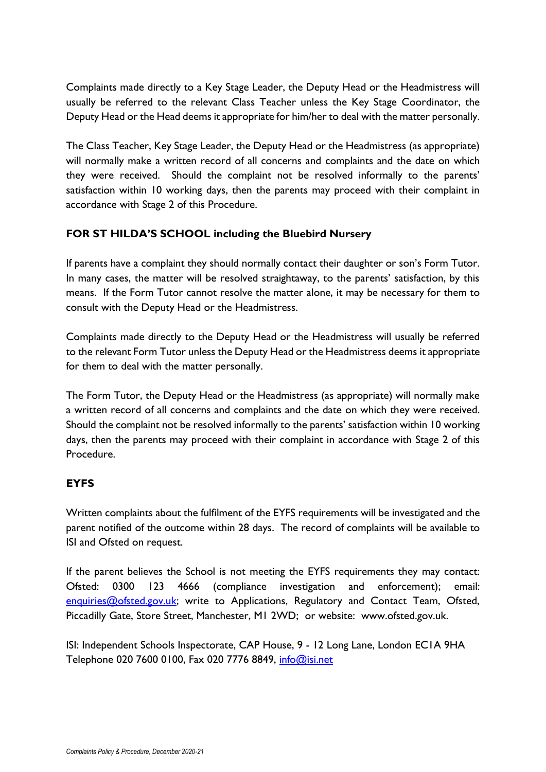Complaints made directly to a Key Stage Leader, the Deputy Head or the Headmistress will usually be referred to the relevant Class Teacher unless the Key Stage Coordinator, the Deputy Head or the Head deems it appropriate for him/her to deal with the matter personally.

The Class Teacher, Key Stage Leader, the Deputy Head or the Headmistress (as appropriate) will normally make a written record of all concerns and complaints and the date on which they were received. Should the complaint not be resolved informally to the parents' satisfaction within 10 working days, then the parents may proceed with their complaint in accordance with Stage 2 of this Procedure.

# **FOR ST HILDA'S SCHOOL including the Bluebird Nursery**

If parents have a complaint they should normally contact their daughter or son's Form Tutor. In many cases, the matter will be resolved straightaway, to the parents' satisfaction, by this means. If the Form Tutor cannot resolve the matter alone, it may be necessary for them to consult with the Deputy Head or the Headmistress.

Complaints made directly to the Deputy Head or the Headmistress will usually be referred to the relevant Form Tutor unless the Deputy Head or the Headmistress deems it appropriate for them to deal with the matter personally.

The Form Tutor, the Deputy Head or the Headmistress (as appropriate) will normally make a written record of all concerns and complaints and the date on which they were received. Should the complaint not be resolved informally to the parents' satisfaction within 10 working days, then the parents may proceed with their complaint in accordance with Stage 2 of this Procedure.

# **EYFS**

Written complaints about the fulfilment of the EYFS requirements will be investigated and the parent notified of the outcome within 28 days. The record of complaints will be available to ISI and Ofsted on request.

If the parent believes the School is not meeting the EYFS requirements they may contact: Ofsted: 0300 123 4666 (compliance investigation and enforcement); email: [enquiries@ofsted.gov.uk;](mailto:enquiries@ofsted.gov.uk) write to Applications, Regulatory and Contact Team, Ofsted, Piccadilly Gate, Store Street, Manchester, M1 2WD; or website: www.ofsted.gov.uk.

ISI: Independent Schools Inspectorate, CAP House, 9 - 12 Long Lane, London EC1A 9HA Telephone 020 7600 0100, Fax 020 7776 8849, [info@isi.net](mailto:info@isi.net)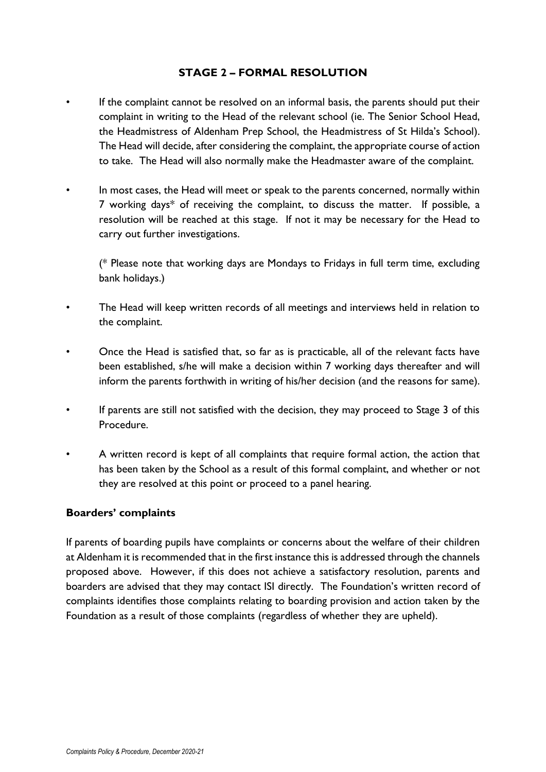### **STAGE 2 – FORMAL RESOLUTION**

- If the complaint cannot be resolved on an informal basis, the parents should put their complaint in writing to the Head of the relevant school (ie. The Senior School Head, the Headmistress of Aldenham Prep School, the Headmistress of St Hilda's School). The Head will decide, after considering the complaint, the appropriate course of action to take. The Head will also normally make the Headmaster aware of the complaint.
- In most cases, the Head will meet or speak to the parents concerned, normally within 7 working days\* of receiving the complaint, to discuss the matter. If possible, a resolution will be reached at this stage. If not it may be necessary for the Head to carry out further investigations.

(\* Please note that working days are Mondays to Fridays in full term time, excluding bank holidays.)

- The Head will keep written records of all meetings and interviews held in relation to the complaint.
- Once the Head is satisfied that, so far as is practicable, all of the relevant facts have been established, s/he will make a decision within 7 working days thereafter and will inform the parents forthwith in writing of his/her decision (and the reasons for same).
- If parents are still not satisfied with the decision, they may proceed to Stage 3 of this Procedure.
- A written record is kept of all complaints that require formal action, the action that has been taken by the School as a result of this formal complaint, and whether or not they are resolved at this point or proceed to a panel hearing.

#### **Boarders' complaints**

If parents of boarding pupils have complaints or concerns about the welfare of their children at Aldenham it is recommended that in the first instance this is addressed through the channels proposed above. However, if this does not achieve a satisfactory resolution, parents and boarders are advised that they may contact ISI directly. The Foundation's written record of complaints identifies those complaints relating to boarding provision and action taken by the Foundation as a result of those complaints (regardless of whether they are upheld).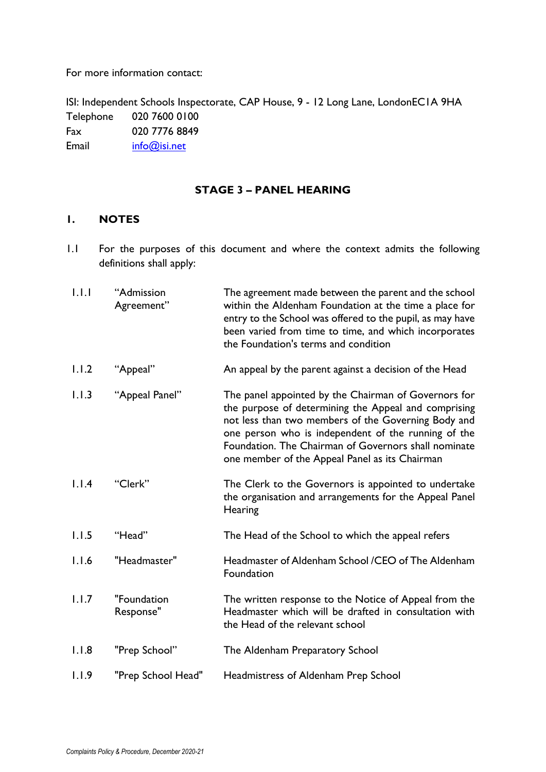For more information contact:

ISI: Independent Schools Inspectorate, CAP House, 9 - 12 Long Lane, LondonEC1A 9HA Telephone 020 7600 0100 Fax 020 7776 8849 Email [info@isi.net](mailto:info@isi.net)

#### **STAGE 3 – PANEL HEARING**

# **1. NOTES**

1.1 For the purposes of this document and where the context admits the following definitions shall apply:

| 1.1.1 | "Admission<br>Agreement" | The agreement made between the parent and the school<br>within the Aldenham Foundation at the time a place for<br>entry to the School was offered to the pupil, as may have<br>been varied from time to time, and which incorporates<br>the Foundation's terms and condition                                                         |
|-------|--------------------------|--------------------------------------------------------------------------------------------------------------------------------------------------------------------------------------------------------------------------------------------------------------------------------------------------------------------------------------|
| 1.1.2 | "Appeal"                 | An appeal by the parent against a decision of the Head                                                                                                                                                                                                                                                                               |
| 1.1.3 | "Appeal Panel"           | The panel appointed by the Chairman of Governors for<br>the purpose of determining the Appeal and comprising<br>not less than two members of the Governing Body and<br>one person who is independent of the running of the<br>Foundation. The Chairman of Governors shall nominate<br>one member of the Appeal Panel as its Chairman |
| 1.1.4 | "Clerk"                  | The Clerk to the Governors is appointed to undertake<br>the organisation and arrangements for the Appeal Panel<br>Hearing                                                                                                                                                                                                            |
| 1.1.5 | "Head"                   | The Head of the School to which the appeal refers                                                                                                                                                                                                                                                                                    |
| 1.1.6 | "Headmaster"             | Headmaster of Aldenham School /CEO of The Aldenham<br>Foundation                                                                                                                                                                                                                                                                     |
| 1.1.7 | "Foundation<br>Response" | The written response to the Notice of Appeal from the<br>Headmaster which will be drafted in consultation with<br>the Head of the relevant school                                                                                                                                                                                    |
| 1.1.8 | "Prep School"            | The Aldenham Preparatory School                                                                                                                                                                                                                                                                                                      |
| 1.1.9 | "Prep School Head"       | Headmistress of Aldenham Prep School                                                                                                                                                                                                                                                                                                 |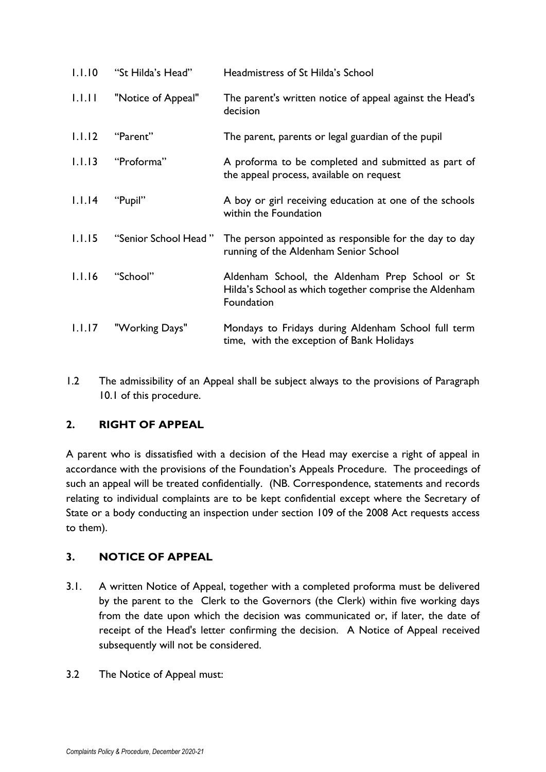| 1.1.10 | "St Hilda's Head"    | Headmistress of St Hilda's School                                                                                       |
|--------|----------------------|-------------------------------------------------------------------------------------------------------------------------|
| 1.1.11 | "Notice of Appeal"   | The parent's written notice of appeal against the Head's<br>decision                                                    |
| 1.1.12 | "Parent"             | The parent, parents or legal guardian of the pupil                                                                      |
| 1.1.13 | "Proforma"           | A proforma to be completed and submitted as part of<br>the appeal process, available on request                         |
| 1.1.14 | "Pupil"              | A boy or girl receiving education at one of the schools<br>within the Foundation                                        |
| 1.1.15 | "Senior School Head" | The person appointed as responsible for the day to day<br>running of the Aldenham Senior School                         |
| 1.1.16 | "School"             | Aldenham School, the Aldenham Prep School or St<br>Hilda's School as which together comprise the Aldenham<br>Foundation |
| 1.1.17 | "Working Days"       | Mondays to Fridays during Aldenham School full term<br>time, with the exception of Bank Holidays                        |

1.2 The admissibility of an Appeal shall be subject always to the provisions of Paragraph 10.1 of this procedure.

# **2. RIGHT OF APPEAL**

A parent who is dissatisfied with a decision of the Head may exercise a right of appeal in accordance with the provisions of the Foundation's Appeals Procedure. The proceedings of such an appeal will be treated confidentially. (NB. Correspondence, statements and records relating to individual complaints are to be kept confidential except where the Secretary of State or a body conducting an inspection under section 109 of the 2008 Act requests access to them).

# **3. NOTICE OF APPEAL**

- 3.1. A written Notice of Appeal, together with a completed proforma must be delivered by the parent to the Clerk to the Governors (the Clerk) within five working days from the date upon which the decision was communicated or, if later, the date of receipt of the Head's letter confirming the decision. A Notice of Appeal received subsequently will not be considered.
- 3.2 The Notice of Appeal must: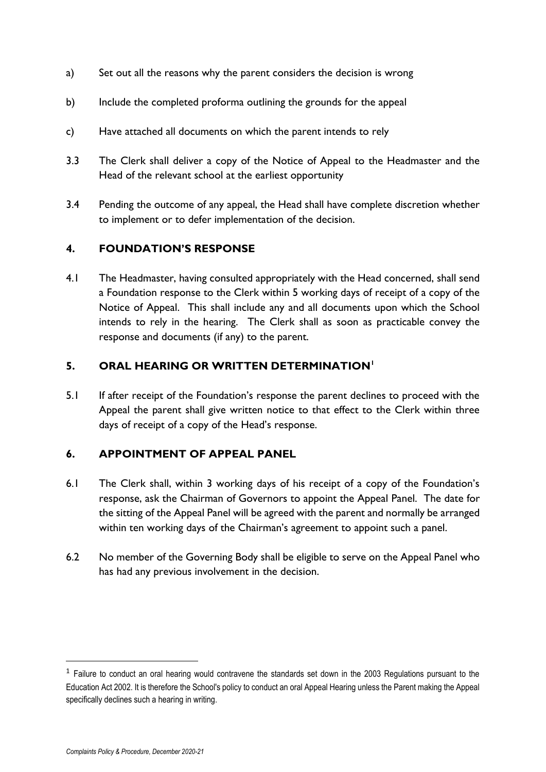- a) Set out all the reasons why the parent considers the decision is wrong
- b) Include the completed proforma outlining the grounds for the appeal
- c) Have attached all documents on which the parent intends to rely
- 3.3 The Clerk shall deliver a copy of the Notice of Appeal to the Headmaster and the Head of the relevant school at the earliest opportunity
- 3.4 Pending the outcome of any appeal, the Head shall have complete discretion whether to implement or to defer implementation of the decision.

# **4. FOUNDATION'S RESPONSE**

4.1 The Headmaster, having consulted appropriately with the Head concerned, shall send a Foundation response to the Clerk within 5 working days of receipt of a copy of the Notice of Appeal. This shall include any and all documents upon which the School intends to rely in the hearing. The Clerk shall as soon as practicable convey the response and documents (if any) to the parent.

# **5. ORAL HEARING OR WRITTEN DETERMINATION<sup>1</sup>**

5.1 If after receipt of the Foundation's response the parent declines to proceed with the Appeal the parent shall give written notice to that effect to the Clerk within three days of receipt of a copy of the Head's response.

#### **6. APPOINTMENT OF APPEAL PANEL**

- 6.1 The Clerk shall, within 3 working days of his receipt of a copy of the Foundation's response, ask the Chairman of Governors to appoint the Appeal Panel. The date for the sitting of the Appeal Panel will be agreed with the parent and normally be arranged within ten working days of the Chairman's agreement to appoint such a panel.
- 6.2 No member of the Governing Body shall be eligible to serve on the Appeal Panel who has had any previous involvement in the decision.

<sup>&</sup>lt;sup>1</sup> Failure to conduct an oral hearing would contravene the standards set down in the 2003 Regulations pursuant to the Education Act 2002. It is therefore the School's policy to conduct an oral Appeal Hearing unless the Parent making the Appeal specifically declines such a hearing in writing.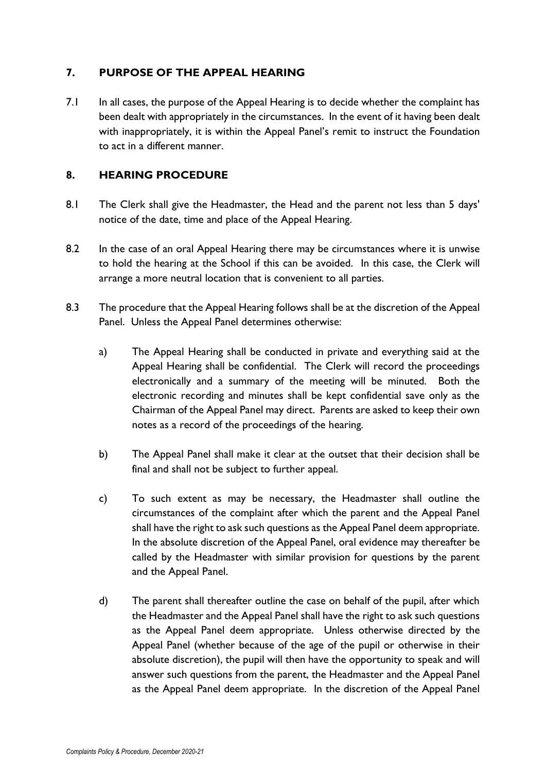# **7. PURPOSE OF THE APPEAL HEARING**

7.1 In all cases, the purpose of the Appeal Hearing is to decide whether the complaint has been dealt with appropriately in the circumstances. In the event of it having been dealt with inappropriately, it is within the Appeal Panel's remit to instruct the Foundation to act in a different manner.

### **8. HEARING PROCEDURE**

- 8.1 The Clerk shall give the Headmaster, the Head and the parent not less than 5 days' notice of the date, time and place of the Appeal Hearing.
- 8.2 In the case of an oral Appeal Hearing there may be circumstances where it is unwise to hold the hearing at the School if this can be avoided. In this case, the Clerk will arrange a more neutral location that is convenient to all parties.
- 8.3 The procedure that the Appeal Hearing follows shall be at the discretion of the Appeal Panel. Unless the Appeal Panel determines otherwise:
	- a) The Appeal Hearing shall be conducted in private and everything said at the Appeal Hearing shall be confidential. The Clerk will record the proceedings electronically and a summary of the meeting will be minuted. Both the electronic recording and minutes shall be kept confidential save only as the Chairman of the Appeal Panel may direct. Parents are asked to keep their own notes as a record of the proceedings of the hearing.
	- b) The Appeal Panel shall make it clear at the outset that their decision shall be final and shall not be subject to further appeal.
	- c) To such extent as may be necessary, the Headmaster shall outline the circumstances of the complaint after which the parent and the Appeal Panel shall have the right to ask such questions as the Appeal Panel deem appropriate. In the absolute discretion of the Appeal Panel, oral evidence may thereafter be called by the Headmaster with similar provision for questions by the parent and the Appeal Panel.
	- d) The parent shall thereafter outline the case on behalf of the pupil, after which the Headmaster and the Appeal Panel shall have the right to ask such questions as the Appeal Panel deem appropriate. Unless otherwise directed by the Appeal Panel (whether because of the age of the pupil or otherwise in their absolute discretion), the pupil will then have the opportunity to speak and will answer such questions from the parent, the Headmaster and the Appeal Panel as the Appeal Panel deem appropriate. In the discretion of the Appeal Panel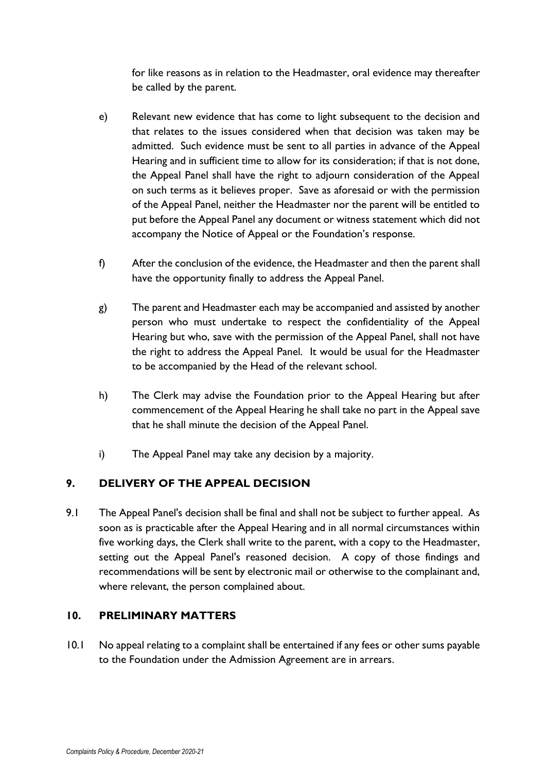for like reasons as in relation to the Headmaster, oral evidence may thereafter be called by the parent.

- e) Relevant new evidence that has come to light subsequent to the decision and that relates to the issues considered when that decision was taken may be admitted. Such evidence must be sent to all parties in advance of the Appeal Hearing and in sufficient time to allow for its consideration; if that is not done, the Appeal Panel shall have the right to adjourn consideration of the Appeal on such terms as it believes proper. Save as aforesaid or with the permission of the Appeal Panel, neither the Headmaster nor the parent will be entitled to put before the Appeal Panel any document or witness statement which did not accompany the Notice of Appeal or the Foundation's response.
- f) After the conclusion of the evidence, the Headmaster and then the parent shall have the opportunity finally to address the Appeal Panel.
- g) The parent and Headmaster each may be accompanied and assisted by another person who must undertake to respect the confidentiality of the Appeal Hearing but who, save with the permission of the Appeal Panel, shall not have the right to address the Appeal Panel. It would be usual for the Headmaster to be accompanied by the Head of the relevant school.
- h) The Clerk may advise the Foundation prior to the Appeal Hearing but after commencement of the Appeal Hearing he shall take no part in the Appeal save that he shall minute the decision of the Appeal Panel.
- i) The Appeal Panel may take any decision by a majority.

# **9. DELIVERY OF THE APPEAL DECISION**

9.1 The Appeal Panel's decision shall be final and shall not be subject to further appeal. As soon as is practicable after the Appeal Hearing and in all normal circumstances within five working days, the Clerk shall write to the parent, with a copy to the Headmaster, setting out the Appeal Panel's reasoned decision. A copy of those findings and recommendations will be sent by electronic mail or otherwise to the complainant and, where relevant, the person complained about.

# **10. PRELIMINARY MATTERS**

10.1 No appeal relating to a complaint shall be entertained if any fees or other sums payable to the Foundation under the Admission Agreement are in arrears.